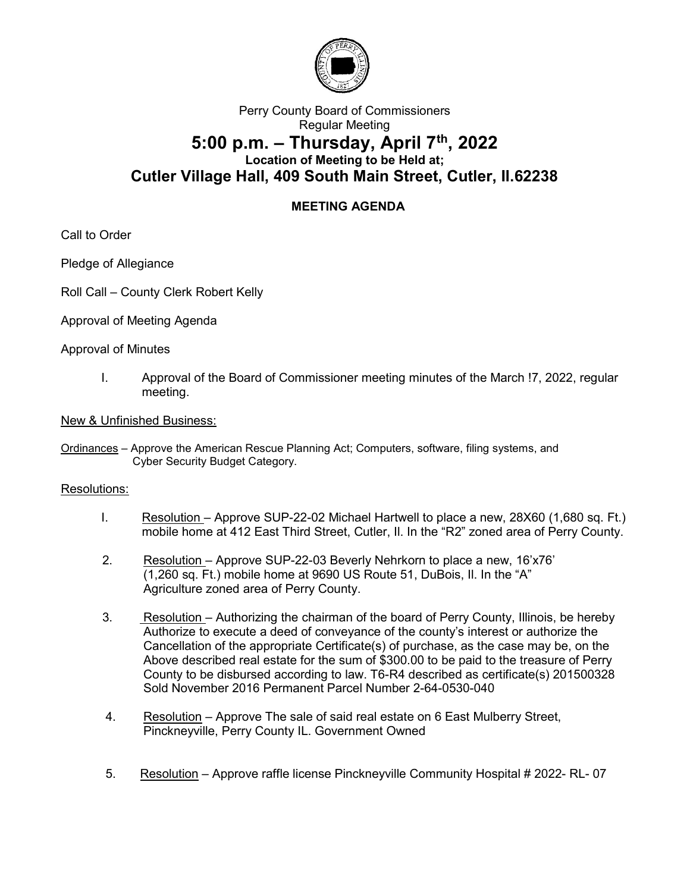

# Perry County Board of Commissioners Regular Meeting 5:00 p.m.  $-$  Thursday, April  $7<sup>th</sup>$ , 2022 Location of Meeting to be Held at; Cutler Village Hall, 409 South Main Street, Cutler, Il.62238

## MEETING AGENDA

Call to Order

Pledge of Allegiance

- Roll Call County Clerk Robert Kelly
- Approval of Meeting Agenda

### Approval of Minutes

I. Approval of the Board of Commissioner meeting minutes of the March !7, 2022, regular meeting.

#### New & Unfinished Business:

Ordinances – Approve the American Rescue Planning Act; Computers, software, filing systems, and Cyber Security Budget Category.

### Resolutions:

- I. Resolution Approve SUP-22-02 Michael Hartwell to place a new, 28X60 (1,680 sq. Ft.) mobile home at 412 East Third Street, Cutler, Il. In the "R2" zoned area of Perry County.
- 2. Resolution Approve SUP-22-03 Beverly Nehrkorn to place a new, 16'x76' (1,260 sq. Ft.) mobile home at 9690 US Route 51, DuBois, Il. In the "A" Agriculture zoned area of Perry County.
- 3. Resolution Authorizing the chairman of the board of Perry County, Illinois, be hereby Authorize to execute a deed of conveyance of the county's interest or authorize the Cancellation of the appropriate Certificate(s) of purchase, as the case may be, on the Above described real estate for the sum of \$300.00 to be paid to the treasure of Perry County to be disbursed according to law. T6-R4 described as certificate(s) 201500328 Sold November 2016 Permanent Parcel Number 2-64-0530-040
- 4. Resolution Approve The sale of said real estate on 6 East Mulberry Street, Pinckneyville, Perry County IL. Government Owned
- 5. Resolution Approve raffle license Pinckneyville Community Hospital # 2022- RL- 07